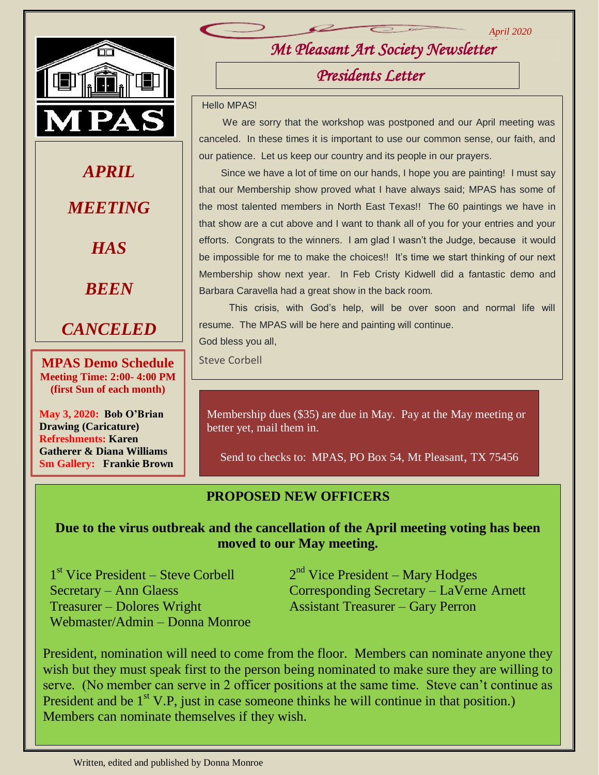*April 2020*



*APRIL MEETING*

*HAS*

*BEEN*

# *CANCELED*

**MPAS Demo Schedule Meeting Time: 2:00- 4:00 PM (first Sun of each month)**

**May 3, 2020: Bob O'Brian Drawing (Caricature) Refreshments: Karen Gatherer & Diana Williams Sm Gallery: Frankie Brown** *Mt Pleasant Art Society Newsletter 2019*

*Presidents Letter* 

#### Hello MPAS!

 We are sorry that the workshop was postponed and our April meeting was canceled. In these times it is important to use our common sense, our faith, and our patience. Let us keep our country and its people in our prayers.

 Since we have a lot of time on our hands, I hope you are painting! I must say that our Membership show proved what I have always said; MPAS has some of the most talented members in North East Texas!! The 60 paintings we have in that show are a cut above and I want to thank all of you for your entries and your efforts. Congrats to the winners. I am glad I wasn't the Judge, because it would be impossible for me to make the choices!! It's time we start thinking of our next Membership show next year. In Feb Cristy Kidwell did a fantastic demo and Barbara Caravella had a great show in the back room.

 This crisis, with God's help, will be over soon and normal life will resume. The MPAS will be here and painting will continue. God bless you all,

Steve Corbell

Membership dues (\$35) are due in May. Pay at the May meeting or better yet, mail them in.

Send to checks to: MPAS, PO Box 54, Mt Pleasant, TX 75456

#### **PROPOSED NEW OFFICERS**

#### **Due to the virus outbreak and the cancellation of the April meeting voting has been moved to our May meeting.**

**Treasurer – Dolores Wright Assistant Treasurer – Gary Perron** 1<sup>st</sup> Vice President – Steve Corbell 2 Webmaster/Admin – Donna Monroe

 $2<sup>nd</sup>$  Vice President – Mary Hodges Secretary – Ann Glaess Corresponding Secretary – LaVerne Arnett

j wish but they must speak first to the person being nominated to make sure they are willing to President, nomination will need to come from the floor. Members can nominate anyone they serve. (No member can serve in 2 officer positions at the same time. Steve can't continue as President and be  $1<sup>st</sup>$  V.P, just in case someone thinks he will continue in that position.) Members can nominate themselves if they wish.